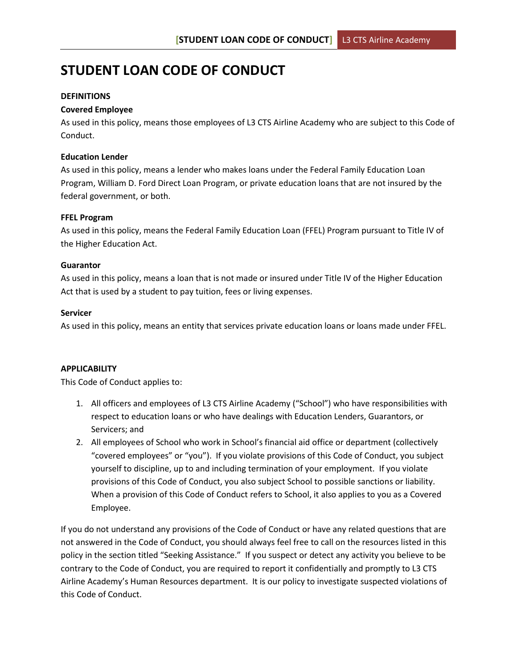# **STUDENT LOAN CODE OF CONDUCT**

## **DEFINITIONS**

#### **Covered Employee**

As used in this policy, means those employees of L3 CTS Airline Academy who are subject to this Code of Conduct.

#### **Education Lender**

As used in this policy, means a lender who makes loans under the Federal Family Education Loan Program, William D. Ford Direct Loan Program, or private education loans that are not insured by the federal government, or both.

#### **FFEL Program**

As used in this policy, means the Federal Family Education Loan (FFEL) Program pursuant to Title IV of the Higher Education Act.

#### **Guarantor**

As used in this policy, means a loan that is not made or insured under Title IV of the Higher Education Act that is used by a student to pay tuition, fees or living expenses.

#### **Servicer**

As used in this policy, means an entity that services private education loans or loans made under FFEL.

# **APPLICABILITY**

This Code of Conduct applies to:

- 1. All officers and employees of L3 CTS Airline Academy ("School") who have responsibilities with respect to education loans or who have dealings with Education Lenders, Guarantors, or Servicers; and
- 2. All employees of School who work in School's financial aid office or department (collectively "covered employees" or "you"). If you violate provisions of this Code of Conduct, you subject yourself to discipline, up to and including termination of your employment. If you violate provisions of this Code of Conduct, you also subject School to possible sanctions or liability. When a provision of this Code of Conduct refers to School, it also applies to you as a Covered Employee.

If you do not understand any provisions of the Code of Conduct or have any related questions that are not answered in the Code of Conduct, you should always feel free to call on the resources listed in this policy in the section titled "Seeking Assistance." If you suspect or detect any activity you believe to be contrary to the Code of Conduct, you are required to report it confidentially and promptly to L3 CTS Airline Academy's Human Resources department. It is our policy to investigate suspected violations of this Code of Conduct.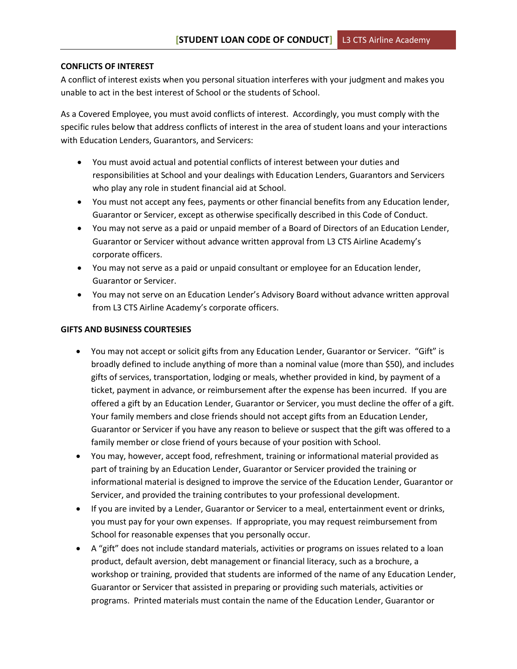#### **CONFLICTS OF INTEREST**

A conflict of interest exists when you personal situation interferes with your judgment and makes you unable to act in the best interest of School or the students of School.

As a Covered Employee, you must avoid conflicts of interest. Accordingly, you must comply with the specific rules below that address conflicts of interest in the area of student loans and your interactions with Education Lenders, Guarantors, and Servicers:

- You must avoid actual and potential conflicts of interest between your duties and responsibilities at School and your dealings with Education Lenders, Guarantors and Servicers who play any role in student financial aid at School.
- You must not accept any fees, payments or other financial benefits from any Education lender, Guarantor or Servicer, except as otherwise specifically described in this Code of Conduct.
- You may not serve as a paid or unpaid member of a Board of Directors of an Education Lender, Guarantor or Servicer without advance written approval from L3 CTS Airline Academy's corporate officers.
- You may not serve as a paid or unpaid consultant or employee for an Education lender, Guarantor or Servicer.
- You may not serve on an Education Lender's Advisory Board without advance written approval from L3 CTS Airline Academy's corporate officers.

#### **GIFTS AND BUSINESS COURTESIES**

- You may not accept or solicit gifts from any Education Lender, Guarantor or Servicer. "Gift" is broadly defined to include anything of more than a nominal value (more than \$50), and includes gifts of services, transportation, lodging or meals, whether provided in kind, by payment of a ticket, payment in advance, or reimbursement after the expense has been incurred. If you are offered a gift by an Education Lender, Guarantor or Servicer, you must decline the offer of a gift. Your family members and close friends should not accept gifts from an Education Lender, Guarantor or Servicer if you have any reason to believe or suspect that the gift was offered to a family member or close friend of yours because of your position with School.
- You may, however, accept food, refreshment, training or informational material provided as part of training by an Education Lender, Guarantor or Servicer provided the training or informational material is designed to improve the service of the Education Lender, Guarantor or Servicer, and provided the training contributes to your professional development.
- If you are invited by a Lender, Guarantor or Servicer to a meal, entertainment event or drinks, you must pay for your own expenses. If appropriate, you may request reimbursement from School for reasonable expenses that you personally occur.
- A "gift" does not include standard materials, activities or programs on issues related to a loan product, default aversion, debt management or financial literacy, such as a brochure, a workshop or training, provided that students are informed of the name of any Education Lender, Guarantor or Servicer that assisted in preparing or providing such materials, activities or programs. Printed materials must contain the name of the Education Lender, Guarantor or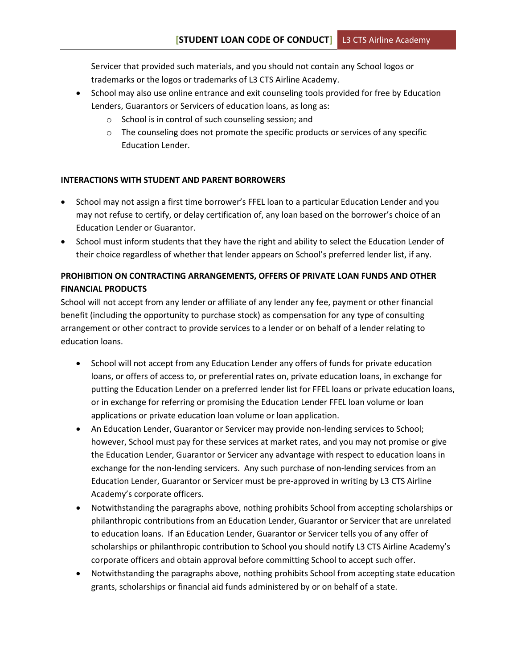Servicer that provided such materials, and you should not contain any School logos or trademarks or the logos or trademarks of L3 CTS Airline Academy.

- School may also use online entrance and exit counseling tools provided for free by Education Lenders, Guarantors or Servicers of education loans, as long as:
	- o School is in control of such counseling session; and
	- $\circ$  The counseling does not promote the specific products or services of any specific Education Lender.

# **INTERACTIONS WITH STUDENT AND PARENT BORROWERS**

- School may not assign a first time borrower's FFEL loan to a particular Education Lender and you may not refuse to certify, or delay certification of, any loan based on the borrower's choice of an Education Lender or Guarantor.
- School must inform students that they have the right and ability to select the Education Lender of their choice regardless of whether that lender appears on School's preferred lender list, if any.

# **PROHIBITION ON CONTRACTING ARRANGEMENTS, OFFERS OF PRIVATE LOAN FUNDS AND OTHER FINANCIAL PRODUCTS**

School will not accept from any lender or affiliate of any lender any fee, payment or other financial benefit (including the opportunity to purchase stock) as compensation for any type of consulting arrangement or other contract to provide services to a lender or on behalf of a lender relating to education loans.

- School will not accept from any Education Lender any offers of funds for private education loans, or offers of access to, or preferential rates on, private education loans, in exchange for putting the Education Lender on a preferred lender list for FFEL loans or private education loans, or in exchange for referring or promising the Education Lender FFEL loan volume or loan applications or private education loan volume or loan application.
- An Education Lender, Guarantor or Servicer may provide non-lending services to School; however, School must pay for these services at market rates, and you may not promise or give the Education Lender, Guarantor or Servicer any advantage with respect to education loans in exchange for the non-lending servicers. Any such purchase of non-lending services from an Education Lender, Guarantor or Servicer must be pre-approved in writing by L3 CTS Airline Academy's corporate officers.
- Notwithstanding the paragraphs above, nothing prohibits School from accepting scholarships or philanthropic contributions from an Education Lender, Guarantor or Servicer that are unrelated to education loans. If an Education Lender, Guarantor or Servicer tells you of any offer of scholarships or philanthropic contribution to School you should notify L3 CTS Airline Academy's corporate officers and obtain approval before committing School to accept such offer.
- Notwithstanding the paragraphs above, nothing prohibits School from accepting state education grants, scholarships or financial aid funds administered by or on behalf of a state.